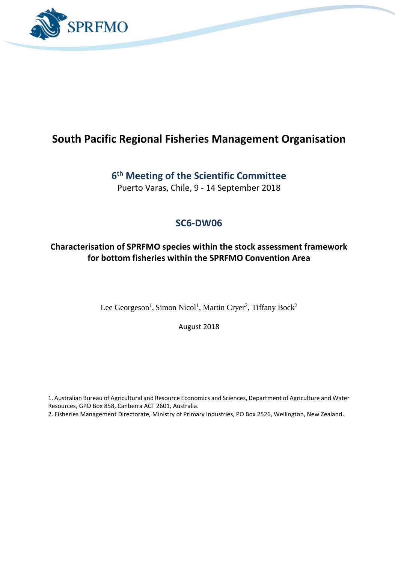

# **South Pacific Regional Fisheries Management Organisation**

# **6 th Meeting of the Scientific Committee**

Puerto Varas, Chile, 9 - 14 September 2018

# **SC6-DW06**

### **Characterisation of SPRFMO species within the stock assessment framework for bottom fisheries within the SPRFMO Convention Area**

Lee Georgeson<sup>1</sup>, Simon Nicol<sup>1</sup>, Martin Cryer<sup>2</sup>, Tiffany Bock<sup>2</sup>

August 2018

1. Australian Bureau of Agricultural and Resource Economics and Sciences, Department of Agriculture and Water Resources, GPO Box 858, Canberra ACT 2601, Australia.

2. Fisheries Management Directorate, Ministry of Primary Industries, PO Box 2526, Wellington, New Zealand.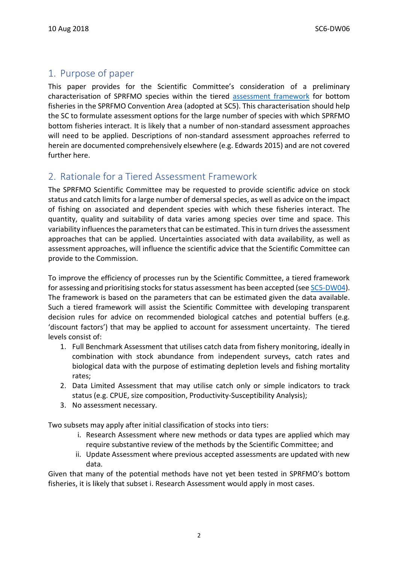# 1. Purpose of paper

This paper provides for the Scientific Committee's consideration of a preliminary characterisation of SPRFMO species within the tiered [assessment framework](https://www.sprfmo.int/assets/SC5-2017/SC5-DW04-Tiered-assessment-framework-Final.pdf) for bottom fisheries in the SPRFMO Convention Area (adopted at SC5). This characterisation should help the SC to formulate assessment options for the large number of species with which SPRFMO bottom fisheries interact. It is likely that a number of non-standard assessment approaches will need to be applied. Descriptions of non-standard assessment approaches referred to herein are documented comprehensively elsewhere (e.g. Edwards 2015) and are not covered further here.

## 2. Rationale for a Tiered Assessment Framework

The SPRFMO Scientific Committee may be requested to provide scientific advice on stock status and catch limits for a large number of demersal species, as well as advice on the impact of fishing on associated and dependent species with which these fisheries interact. The quantity, quality and suitability of data varies among species over time and space. This variability influences the parameters that can be estimated. This in turn drives the assessment approaches that can be applied. Uncertainties associated with data availability, as well as assessment approaches, will influence the scientific advice that the Scientific Committee can provide to the Commission.

To improve the efficiency of processes run by the Scientific Committee, a tiered framework for assessing and prioritising stocks for status assessment has been accepted (se[e SC5-DW04\)](https://www.sprfmo.int/assets/SC5-2017/SC5-DW04-Tiered-assessment-framework-Final.pdf). The framework is based on the parameters that can be estimated given the data available. Such a tiered framework will assist the Scientific Committee with developing transparent decision rules for advice on recommended biological catches and potential buffers (e.g. 'discount factors') that may be applied to account for assessment uncertainty. The tiered levels consist of:

- 1. Full Benchmark Assessment that utilises catch data from fishery monitoring, ideally in combination with stock abundance from independent surveys, catch rates and biological data with the purpose of estimating depletion levels and fishing mortality rates;
- 2. Data Limited Assessment that may utilise catch only or simple indicators to track status (e.g. CPUE, size composition, Productivity-Susceptibility Analysis);
- 3. No assessment necessary.

Two subsets may apply after initial classification of stocks into tiers:

- i. Research Assessment where new methods or data types are applied which may require substantive review of the methods by the Scientific Committee; and
- ii. Update Assessment where previous accepted assessments are updated with new data.

Given that many of the potential methods have not yet been tested in SPRFMO's bottom fisheries, it is likely that subset i. Research Assessment would apply in most cases.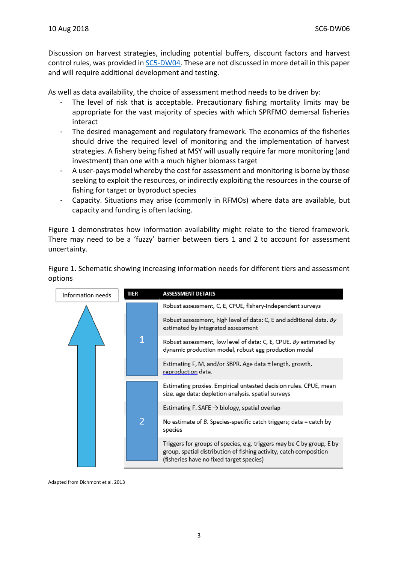Discussion on harvest strategies, including potential buffers, discount factors and harvest control rules, was provided i[n SC5-DW04.](https://www.sprfmo.int/assets/SC5-2017/SC5-DW04-Tiered-assessment-framework-Final.pdf) These are not discussed in more detail in this paper and will require additional development and testing.

As well as data availability, the choice of assessment method needs to be driven by:

- The level of risk that is acceptable. Precautionary fishing mortality limits may be appropriate for the vast majority of species with which SPRFMO demersal fisheries interact
- The desired management and regulatory framework. The economics of the fisheries should drive the required level of monitoring and the implementation of harvest strategies. A fishery being fished at MSY will usually require far more monitoring (and investment) than one with a much higher biomass target
- A user-pays model whereby the cost for assessment and monitoring is borne by those seeking to exploit the resources, or indirectly exploiting the resources in the course of fishing for target or byproduct species
- Capacity. Situations may arise (commonly in RFMOs) where data are available, but capacity and funding is often lacking.

Figure 1 demonstrates how information availability might relate to the tiered framework. There may need to be a 'fuzzy' barrier between tiers 1 and 2 to account for assessment uncertainty.

Figure 1. Schematic showing increasing information needs for different tiers and assessment options



Adapted from Dichmont et al. 2013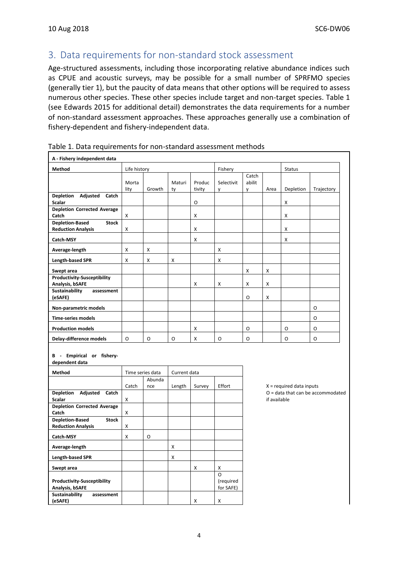## 3. Data requirements for non-standard stock assessment

Age-structured assessments, including those incorporating relative abundance indices such as CPUE and acoustic surveys, may be possible for a small number of SPRFMO species (generally tier 1), but the paucity of data means that other options will be required to assess numerous other species. These other species include target and non-target species. Table 1 (see Edwards 2015 for additional detail) demonstrates the data requirements for a number of non-standard assessment approaches. These approaches generally use a combination of fishery-dependent and fishery-independent data.

| A - Fishery independent data                                        |               |                  |              |                  |                        |                      |      |                                                                                   |            |  |  |  |
|---------------------------------------------------------------------|---------------|------------------|--------------|------------------|------------------------|----------------------|------|-----------------------------------------------------------------------------------|------------|--|--|--|
| Method                                                              | Life history  |                  |              |                  | Fishery                |                      |      | Status                                                                            |            |  |  |  |
|                                                                     | Morta<br>lity | Growth           | Maturi<br>ty | Produc<br>tivity | Selectivit<br>y        | Catch<br>abilit<br>y | Area | Depletion                                                                         | Trajectory |  |  |  |
| Depletion Adjusted Catch<br><b>Scalar</b>                           |               |                  |              | O                |                        |                      |      | X                                                                                 |            |  |  |  |
| <b>Depletion Corrected Average</b><br>Catch                         | X             |                  |              | X                |                        |                      |      | X                                                                                 |            |  |  |  |
| <b>Depletion-Based</b><br><b>Stock</b><br><b>Reduction Analysis</b> | X             |                  |              | x                |                        |                      |      | Χ                                                                                 |            |  |  |  |
| Catch-MSY                                                           |               |                  |              | X                |                        |                      |      | Χ                                                                                 |            |  |  |  |
| Average-length                                                      | X             | X                |              |                  | x                      |                      |      |                                                                                   |            |  |  |  |
| Length-based SPR                                                    | X             | x                | X            |                  | X                      |                      |      |                                                                                   |            |  |  |  |
| Swept area<br><b>Productivity-Susceptibility</b>                    |               |                  |              |                  |                        | X                    | X    |                                                                                   |            |  |  |  |
| Analysis, bSAFE<br>Sustainability<br>assessment                     |               |                  |              | х                | X                      | X                    | X    |                                                                                   |            |  |  |  |
| (eSAFE)<br>Non-parametric models                                    |               |                  |              |                  |                        | O                    | X    |                                                                                   | O          |  |  |  |
| <b>Time-series models</b>                                           |               |                  |              |                  |                        |                      |      |                                                                                   | O          |  |  |  |
| <b>Production models</b>                                            |               |                  |              | X                |                        | O                    |      | 0                                                                                 | 0          |  |  |  |
| Delay-difference models                                             | O             | O                | O            | X                | O                      | O                    |      | 0                                                                                 | O          |  |  |  |
| B - Empirical or fishery-<br>dependent data                         |               |                  |              |                  |                        |                      |      |                                                                                   |            |  |  |  |
| Method                                                              |               | Time series data | Current data |                  |                        |                      |      |                                                                                   |            |  |  |  |
|                                                                     | Catch         | Abunda<br>nce    | Length       | Survey           | Effort                 |                      |      | $X = required data inputs$<br>$O =$ data that can be accommodated<br>if available |            |  |  |  |
| Depletion Adjusted Catch<br><b>Scalar</b>                           | X             |                  |              |                  |                        |                      |      |                                                                                   |            |  |  |  |
| <b>Depletion Corrected Average</b><br>Catch                         | X             |                  |              |                  |                        |                      |      |                                                                                   |            |  |  |  |
| <b>Depletion-Based</b><br><b>Stock</b><br><b>Reduction Analysis</b> | x             |                  |              |                  |                        |                      |      |                                                                                   |            |  |  |  |
| Catch-MSY                                                           | x             | O                |              |                  |                        |                      |      |                                                                                   |            |  |  |  |
| Average-length                                                      |               |                  | X            |                  |                        |                      |      |                                                                                   |            |  |  |  |
| <b>Length-based SPR</b>                                             |               |                  | X            |                  |                        |                      |      |                                                                                   |            |  |  |  |
| Swept area                                                          |               |                  |              | X                | X<br>$\circ$           |                      |      |                                                                                   |            |  |  |  |
| <b>Productivity-Susceptibility</b><br>Analysis, bSAFE               |               |                  |              |                  | (required<br>for SAFE) |                      |      |                                                                                   |            |  |  |  |
| Sustainability<br>assessment<br>(eSAFE)                             |               |                  |              | X                | X                      |                      |      |                                                                                   |            |  |  |  |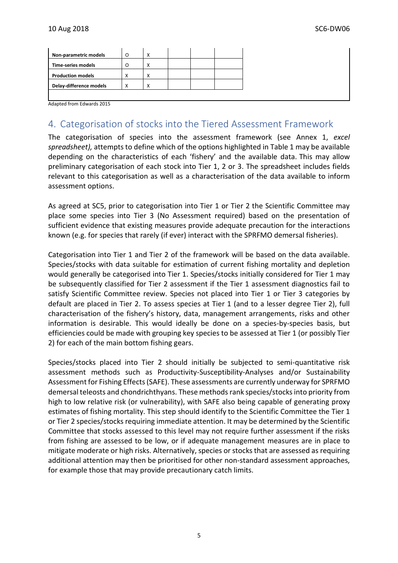| <b>Time-series models</b><br>Χ<br>Ο<br><b>Production models</b><br>X<br>X | Non-parametric models   | O | X |  |  |
|---------------------------------------------------------------------------|-------------------------|---|---|--|--|
|                                                                           |                         |   |   |  |  |
|                                                                           |                         |   |   |  |  |
|                                                                           | Delay-difference models | Χ | Χ |  |  |

Adapted from Edwards 2015

### 4. Categorisation of stocks into the Tiered Assessment Framework

The categorisation of species into the assessment framework (see Annex 1, *excel spreadsheet),* attempts to define which of the options highlighted in Table 1 may be available depending on the characteristics of each 'fishery' and the available data. This may allow preliminary categorisation of each stock into Tier 1, 2 or 3. The spreadsheet includes fields relevant to this categorisation as well as a characterisation of the data available to inform assessment options.

As agreed at SC5, prior to categorisation into Tier 1 or Tier 2 the Scientific Committee may place some species into Tier 3 (No Assessment required) based on the presentation of sufficient evidence that existing measures provide adequate precaution for the interactions known (e.g. for species that rarely (if ever) interact with the SPRFMO demersal fisheries).

Categorisation into Tier 1 and Tier 2 of the framework will be based on the data available. Species/stocks with data suitable for estimation of current fishing mortality and depletion would generally be categorised into Tier 1. Species/stocks initially considered for Tier 1 may be subsequently classified for Tier 2 assessment if the Tier 1 assessment diagnostics fail to satisfy Scientific Committee review. Species not placed into Tier 1 or Tier 3 categories by default are placed in Tier 2. To assess species at Tier 1 (and to a lesser degree Tier 2), full characterisation of the fishery's history, data, management arrangements, risks and other information is desirable. This would ideally be done on a species-by-species basis, but efficiencies could be made with grouping key species to be assessed at Tier 1 (or possibly Tier 2) for each of the main bottom fishing gears.

Species/stocks placed into Tier 2 should initially be subjected to semi-quantitative risk assessment methods such as Productivity-Susceptibility-Analyses and/or Sustainability Assessment for Fishing Effects (SAFE). These assessments are currently underway for SPRFMO demersal teleosts and chondrichthyans. These methods rank species/stocks into priority from high to low relative risk (or vulnerability), with SAFE also being capable of generating proxy estimates of fishing mortality. This step should identify to the Scientific Committee the Tier 1 or Tier 2 species/stocks requiring immediate attention. It may be determined by the Scientific Committee that stocks assessed to this level may not require further assessment if the risks from fishing are assessed to be low, or if adequate management measures are in place to mitigate moderate or high risks. Alternatively, species or stocks that are assessed as requiring additional attention may then be prioritised for other non-standard assessment approaches, for example those that may provide precautionary catch limits.